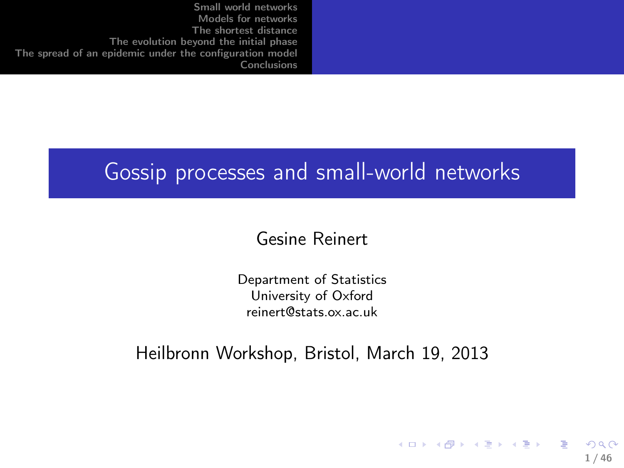### Gossip processes and small-world networks

#### Gesine Reinert

Department of Statistics University of Oxford reinert@stats.ox.ac.uk

Heilbronn Workshop, Bristol, March 19, 2013

<span id="page-0-0"></span>지수는 지속 지수는 지수는 지수는 것이다.  $\Omega$ 1 / 46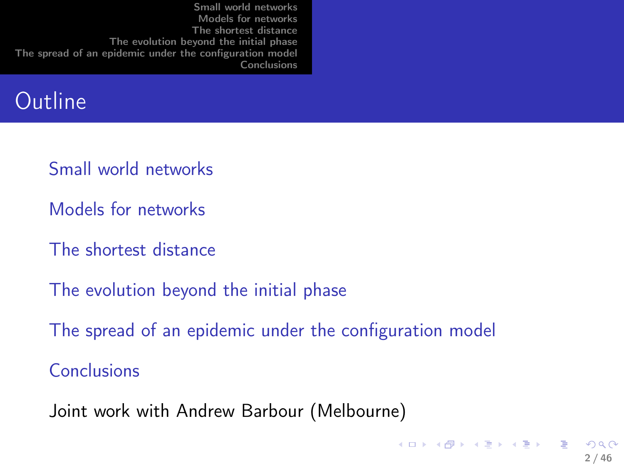|  | Small world networks<br>Models for networks<br>The shortest distance<br>The evolution beyond the initial phase<br>The spread of an epidemic under the configuration model<br><b>Conclusions</b> |  |
|--|-------------------------------------------------------------------------------------------------------------------------------------------------------------------------------------------------|--|
|--|-------------------------------------------------------------------------------------------------------------------------------------------------------------------------------------------------|--|

### **Outline**

- [Small world networks](#page-2-0)
- [Models for networks](#page-5-0)
- [The shortest distance](#page-9-0)
- [The evolution beyond the initial phase](#page-23-0)
- [The spread of an epidemic under the configuration model](#page-31-0)

[Conclusions](#page-44-0)

Joint work with Andrew Barbour (Melbourne)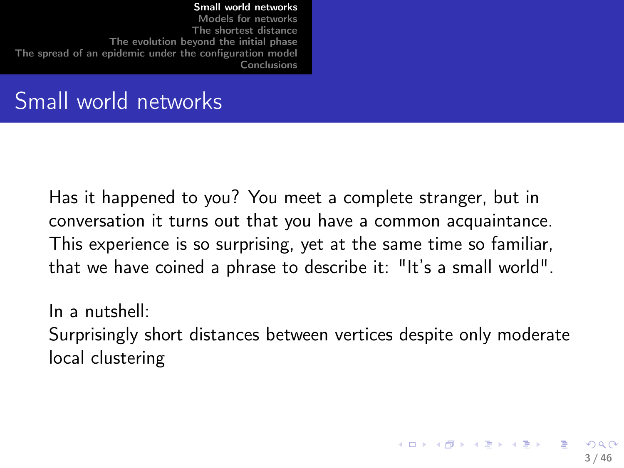# Small world networks

Has it happened to you? You meet a complete stranger, but in conversation it turns out that you have a common acquaintance. This experience is so surprising, yet at the same time so familiar, that we have coined a phrase to describe it: "It's a small world".

<span id="page-2-0"></span>In a nutshell: Surprisingly short distances between vertices despite only moderate local clustering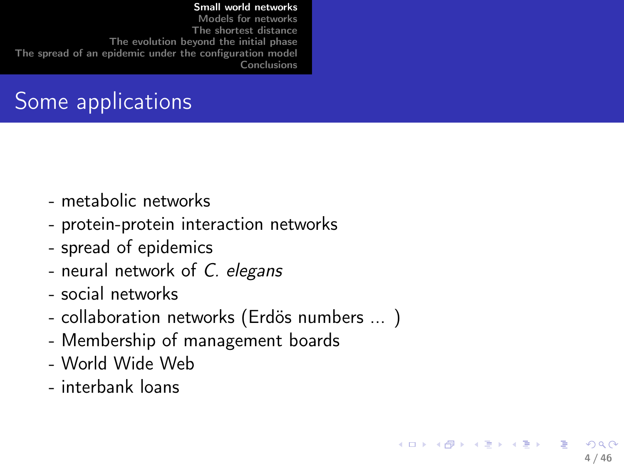# Some applications

- metabolic networks
- protein-protein interaction networks
- spread of epidemics
- neural network of C. elegans
- social networks
- collaboration networks (Erdös numbers ... )

4 / 46

∽≏∩

イロト 不優 ト 不差 ト 不差 トー

- Membership of management boards
- World Wide Web
- interbank loans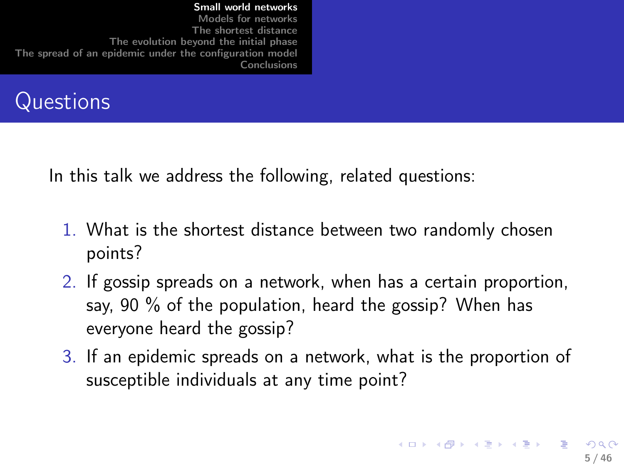

In this talk we address the following, related questions:

- 1. What is the shortest distance between two randomly chosen points?
- 2. If gossip spreads on a network, when has a certain proportion, say, 90 % of the population, heard the gossip? When has everyone heard the gossip?
- 3. If an epidemic spreads on a network, what is the proportion of susceptible individuals at any time point?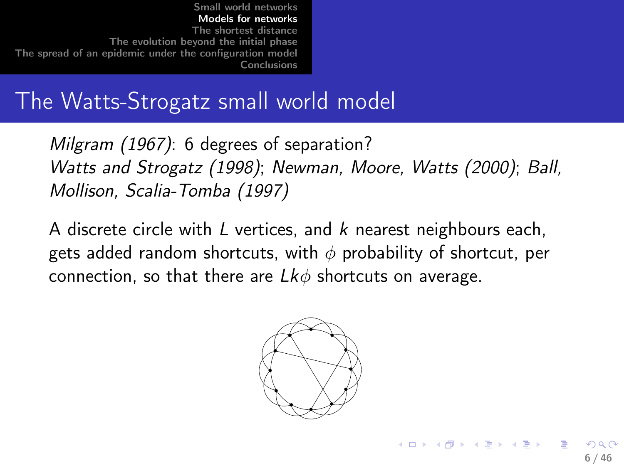# The Watts-Strogatz small world model

Milgram (1967): 6 degrees of separation? Watts and Strogatz (1998); Newman, Moore, Watts (2000); Ball, Mollison, Scalia-Tomba (1997)

A discrete circle with  $L$  vertices, and  $k$  nearest neighbours each, gets added random shortcuts, with  $\phi$  probability of shortcut, per connection, so that there are  $Lk\phi$  shortcuts on average.

<span id="page-5-0"></span>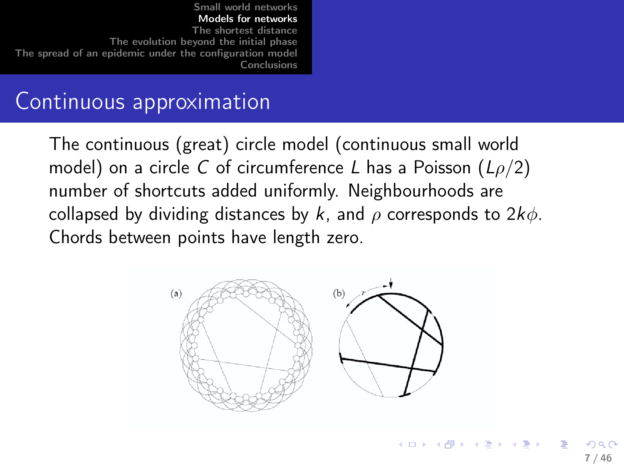# Continuous approximation

The continuous (great) circle model (continuous small world model) on a circle C of circumference L has a Poisson  $(L\rho/2)$ number of shortcuts added uniformly. Neighbourhoods are collapsed by dividing distances by k, and  $\rho$  corresponds to  $2k\phi$ . Chords between points have length zero.

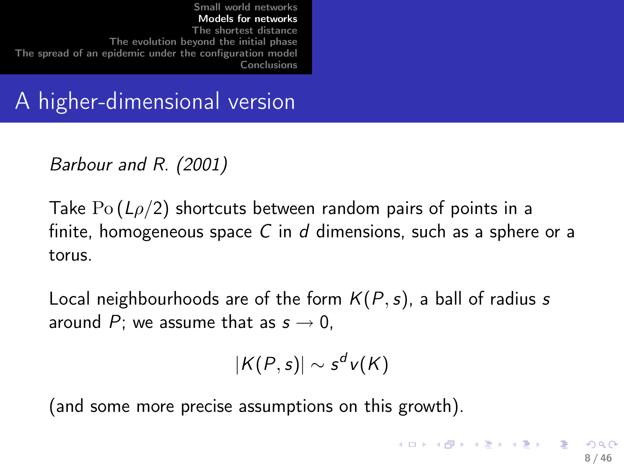A higher-dimensional version

Barbour and R. (2001)

Take  $Po(L\rho/2)$  shortcuts between random pairs of points in a finite, homogeneous space  $C$  in  $d$  dimensions, such as a sphere or a torus.

Local neighbourhoods are of the form  $K(P, s)$ , a ball of radius s around P; we assume that as  $s \to 0$ ,

$$
|K(P,s)|\sim s^d v(K)
$$

(and some more precise assumptions on this growth).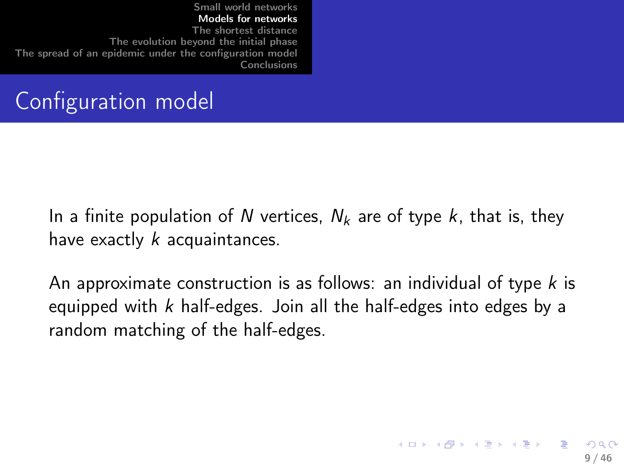# Configuration model

In a finite population of N vertices,  $N_k$  are of type k, that is, they have exactly  $k$  acquaintances.

<span id="page-8-0"></span>An approximate construction is as follows: an individual of type  $k$  is equipped with  $k$  half-edges. Join all the half-edges into edges by a random matching of the half-edges.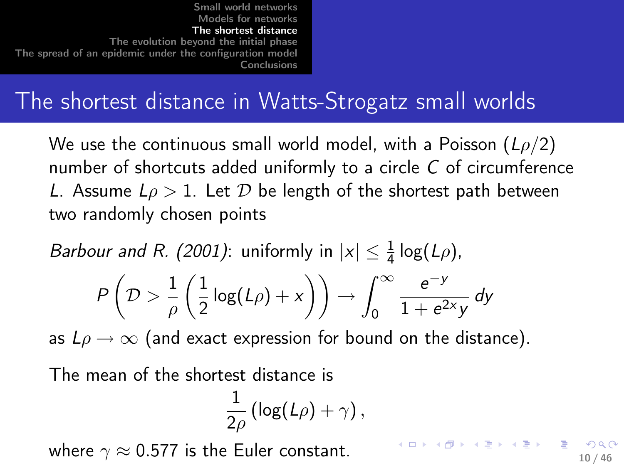# The shortest distance in Watts-Strogatz small worlds

We use the continuous small world model, with a Poisson  $(L\rho/2)$ number of shortcuts added uniformly to a circle C of circumference L. Assume  $L\rho > 1$ . Let D be length of the shortest path between two randomly chosen points

*Barbour and R. (2001)*: uniformly in 
$$
|x| \leq \frac{1}{4} \log(L\rho)
$$
,

$$
P\left(\mathcal{D} > \frac{1}{\rho}\left(\frac{1}{2}\log(L\rho) + x\right)\right) \to \int_0^\infty \frac{e^{-y}}{1 + e^{2x}y} dy
$$

as  $L\rho \rightarrow \infty$  (and exact expression for bound on the distance).

The mean of the shortest distance is

$$
\frac{1}{2\rho}\left(\log(L\rho)+\gamma\right),\,
$$

where  $\gamma \approx 0.577$  is the Euler constant.

<span id="page-9-0"></span>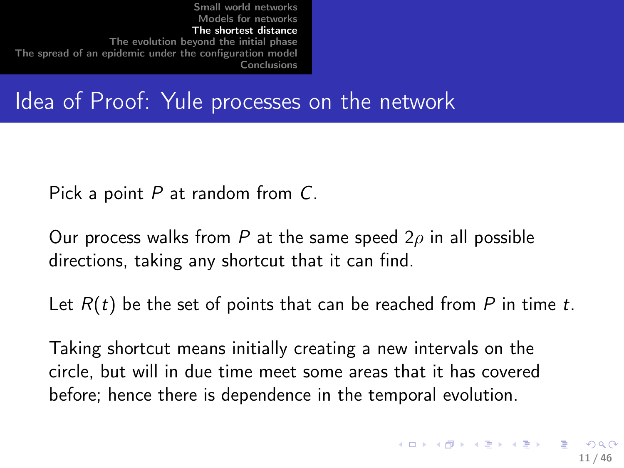Idea of Proof: Yule processes on the network

Pick a point  $P$  at random from  $C$ .

Our process walks from P at the same speed  $2\rho$  in all possible directions, taking any shortcut that it can find.

Let  $R(t)$  be the set of points that can be reached from P in time t.

Taking shortcut means initially creating a new intervals on the circle, but will in due time meet some areas that it has covered before; hence there is dependence in the temporal evolution.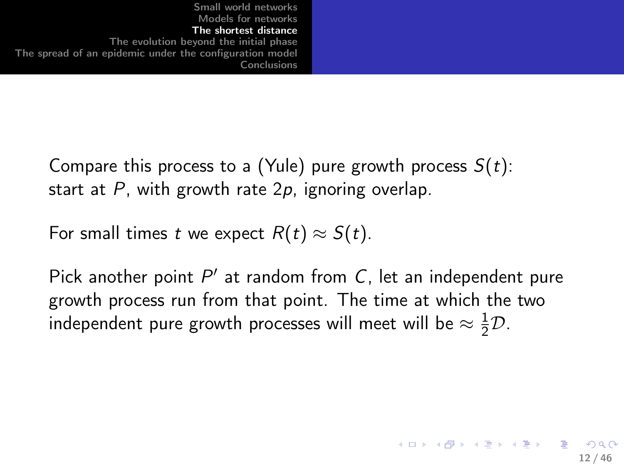> Compare this process to a (Yule) pure growth process  $S(t)$ : start at  $P$ , with growth rate  $2p$ , ignoring overlap.

For small times t we expect  $R(t) \approx S(t)$ .

Pick another point  $P'$  at random from  $C$ , let an independent pure growth process run from that point. The time at which the two independent pure growth processes will meet will be  $\approx \frac{1}{2}\mathcal{D}$ .

12 / 46

**KORK REPARED REMARK**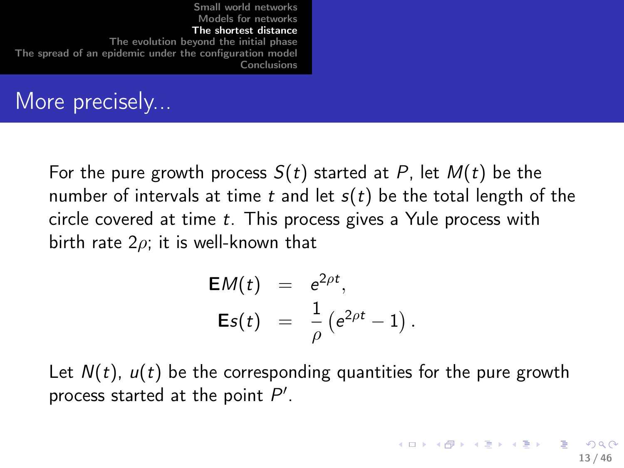|--|

### More precisely...

For the pure growth process  $S(t)$  started at P, let  $M(t)$  be the number of intervals at time t and let  $s(t)$  be the total length of the circle covered at time t. This process gives a Yule process with birth rate  $2\rho$ ; it is well-known that

$$
EM(t) = e^{2\rho t}, \nEs(t) = \frac{1}{\rho} (e^{2\rho t} - 1).
$$

Let  $N(t)$ ,  $u(t)$  be the corresponding quantities for the pure growth process started at the point  $P'$ .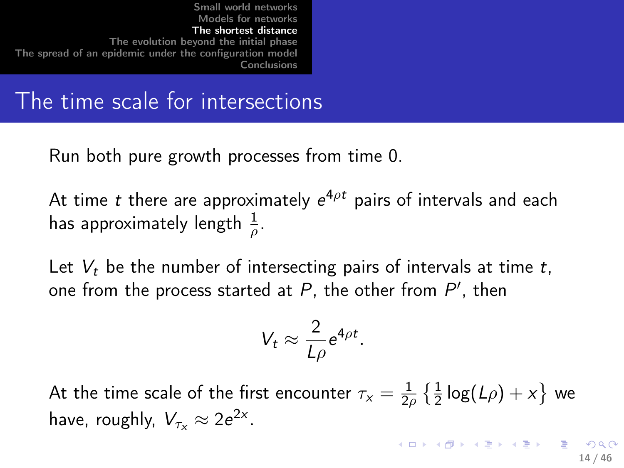### The time scale for intersections

Run both pure growth processes from time 0.

At time  $t$  there are approximately  $e^{4\rho t}$  pairs of intervals and each has approximately length  $\frac{1}{\rho}$ .

Let  $V_t$  be the number of intersecting pairs of intervals at time t, one from the process started at  $P$ , the other from  $P'$ , then

$$
V_t \approx \frac{2}{L\rho} e^{4\rho t}
$$

<span id="page-13-0"></span>.

At the time scale of the first encounter  $\tau_{\mathsf{x}} = \frac{1}{2d}$  $\frac{1}{2\rho} \left\{ \frac{1}{2} \log(L\rho) + x \right\}$  we have, roughly,  $V_{\tau_x} \approx 2e^{2x}$ .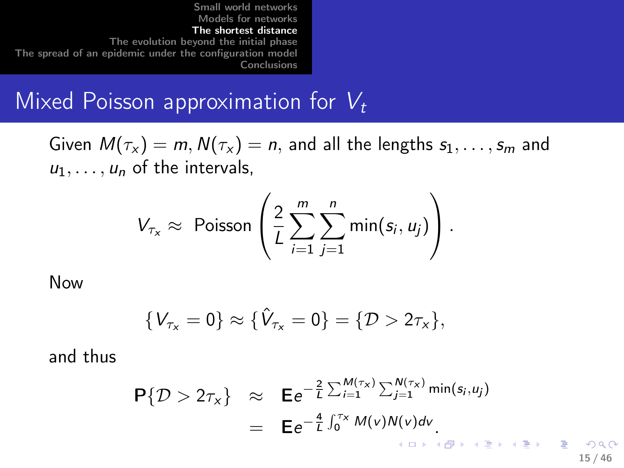### Mixed Poisson approximation for  $V_t$

Given  $M(\tau_{\mathsf{x}}) = m, N(\tau_{\mathsf{x}}) = n$ , and all the lengths  $s_1, \ldots, s_m$  and  $u_1, \ldots, u_n$  of the intervals,

$$
V_{\tau_x} \approx \text{ Poisson}\left(\frac{2}{L}\sum_{i=1}^m \sum_{j=1}^n \min(s_i, u_j)\right).
$$

Now

$$
\{V_{\tau_x} = 0\} \approx \{\hat{V}_{\tau_x} = 0\} = \{\mathcal{D} > 2\tau_x\},\
$$

and thus

$$
\begin{array}{rcl}\n\mathsf{P}\{\mathcal{D} > 2\tau_{\mathsf{x}}\} & \approx & \mathsf{E}e^{-\frac{2}{L}\sum_{i=1}^{M(\tau_{\mathsf{x}})}\sum_{j=1}^{N(\tau_{\mathsf{x}})}\min(s_i, u_j)} \\
& = & \mathsf{E}e^{-\frac{4}{L}\int_{0}^{\tau_{\mathsf{x}}}\mathsf{M}(v)\mathsf{N}(v)dv}.\n\end{array}
$$

15 / 46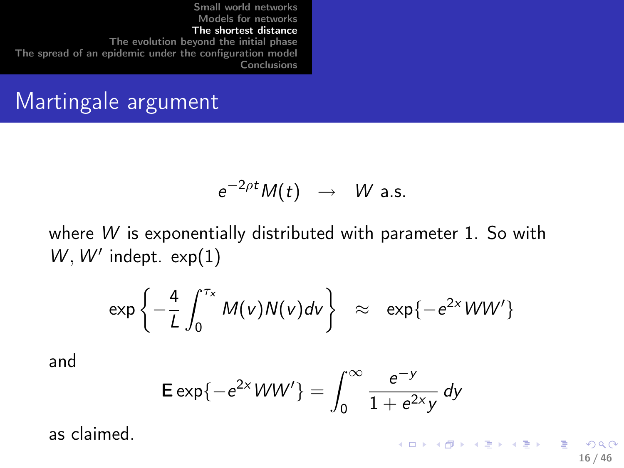# Martingale argument

$$
e^{-2\rho t}M(t) \rightarrow W \text{ a.s.}
$$

where W is exponentially distributed with parameter 1. So with  $W, W'$  indept.  $exp(1)$ 

$$
\exp\left\{-\frac{4}{L}\int_0^{\tau_x}M(v)N(v)dv\right\} \approx \exp\{-e^{2x}WW'\}
$$

and

$$
\mathsf{E} \exp\{-e^{2x}WW'\} = \int_0^\infty \frac{e^{-y}}{1 + e^{2x}y} \, dy
$$

as claimed.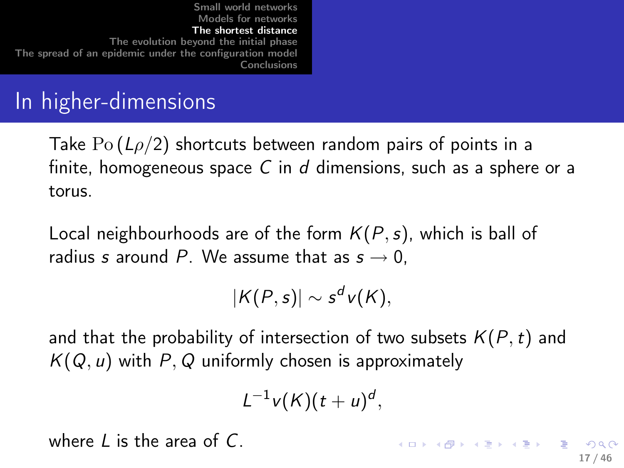# In higher-dimensions

Take  $Po(L\rho/2)$  shortcuts between random pairs of points in a finite, homogeneous space C in d dimensions, such as a sphere or a torus.

Local neighbourhoods are of the form  $K(P,s)$ , which is ball of radius s around P. We assume that as  $s \to 0$ ,

$$
|K(P,s)| \sim s^d v(K),
$$

and that the probability of intersection of two subsets  $K(P, t)$  and  $K(Q, u)$  with P, Q uniformly chosen is approximately

<span id="page-16-0"></span>
$$
L^{-1}v(K)(t+u)^d,
$$

where  $L$  is the area of  $C$ .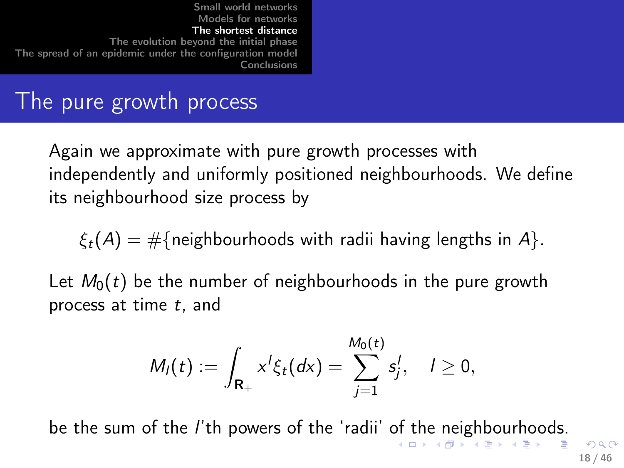### The pure growth process

Again we approximate with pure growth processes with independently and uniformly positioned neighbourhoods. We define its neighbourhood size process by

 $\xi_t(A) = \#\{\text{neighborhoods with radii having lengths in } A\}.$ 

Let  $M_0(t)$  be the number of neighbourhoods in the pure growth process at time  $t$ , and

$$
M_I(t) := \int_{\mathbf{R}_+} x^I \xi_t(dx) = \sum_{j=1}^{M_0(t)} s_j^I, \quad I \geq 0,
$$

be the sum [of](#page-16-0) t[he](#page-18-0) *l*'th powers of the 'radii' of the [ne](#page-17-0)[ig](#page-18-0)[h](#page-9-0)[b](#page-9-0)[ou](#page-23-0)[r](#page-8-0)h[o](#page-23-0)o[ds](#page-0-0)[.](#page-45-0)

<span id="page-17-0"></span> $209$ 18 / 46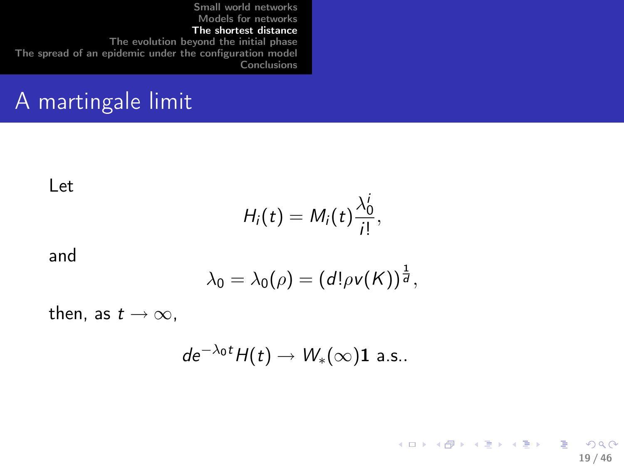# A martingale limit

Let

$$
H_i(t)=M_i(t)\frac{\lambda_0^i}{i!},
$$

and

$$
\lambda_0=\lambda_0(\rho)=\left(d!\rho v(K)\right)^{\frac{1}{d}},
$$

then, as  $t \to \infty$ ,

$$
de^{-\lambda_0 t}H(t)\to W_*(\infty)\mathbf{1} \text{ a.s.}.
$$

<span id="page-18-0"></span>K ロ ▶ K @ ▶ K 할 ▶ K 할 ▶ → 할 → 9 Q @ 19 / 46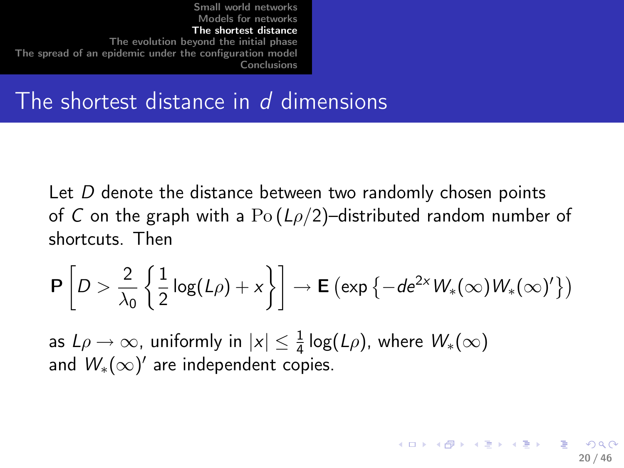### The shortest distance in  $d$  dimensions

Let D denote the distance between two randomly chosen points of C on the graph with a  $Po(L\rho/2)$ -distributed random number of shortcuts. Then

$$
\mathsf{P}\left[D>\frac{2}{\lambda_0}\left\{\frac{1}{2}\log(L\rho)+x\right\}\right]\to\mathsf{E}\left(\exp\left\{-de^{2x}W_*(\infty)W_*(\infty)'\right\}\right)
$$

as  $L\rho \to \infty$ , uniformly in  $|x| \leq \frac{1}{4} \log(L\rho)$ , where  $W_*(\infty)$ and  $W_*(\infty)'$  are independent copies.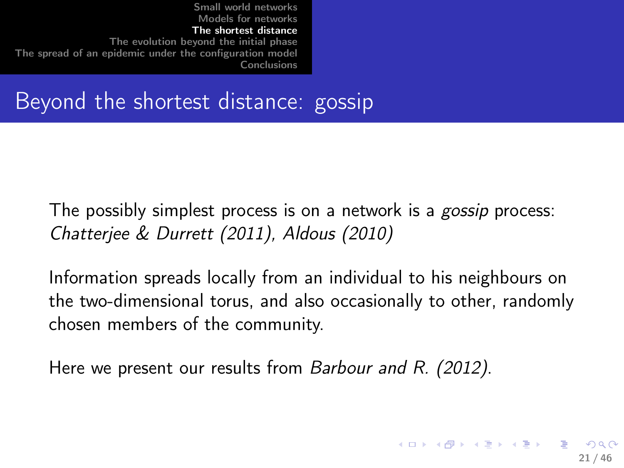# Beyond the shortest distance: gossip

The possibly simplest process is on a network is a *gossip* process: Chatterjee & Durrett (2011), Aldous (2010)

Information spreads locally from an individual to his neighbours on the two-dimensional torus, and also occasionally to other, randomly chosen members of the community.

Here we present our results from Barbour and R. (2012).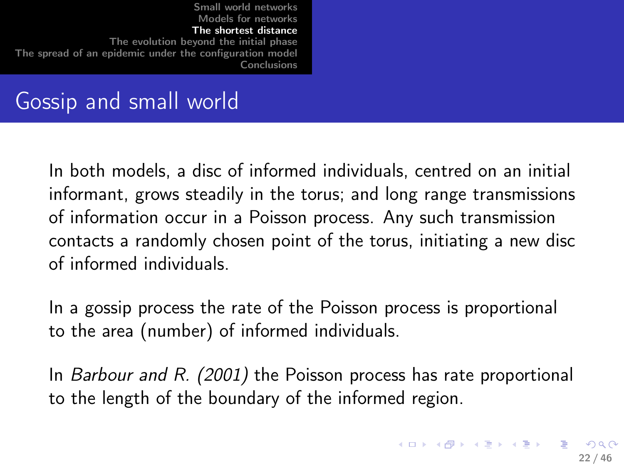# Gossip and small world

In both models, a disc of informed individuals, centred on an initial informant, grows steadily in the torus; and long range transmissions of information occur in a Poisson process. Any such transmission contacts a randomly chosen point of the torus, initiating a new disc of informed individuals.

In a gossip process the rate of the Poisson process is proportional to the area (number) of informed individuals.

In Barbour and R. (2001) the Poisson process has rate proportional to the length of the boundary of the informed region.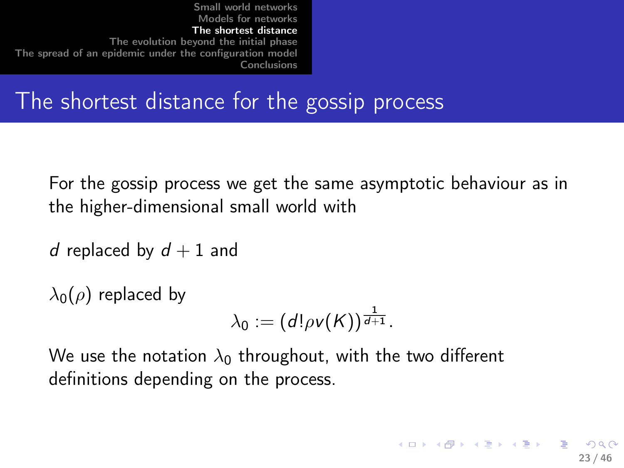The shortest distance for the gossip process

For the gossip process we get the same asymptotic behaviour as in the higher-dimensional small world with

```
d replaced by d + 1 and
```
 $\lambda_0(\rho)$  replaced by

<span id="page-22-0"></span>
$$
\lambda_0:=\left(d!\rho v(K)\right)^{\frac{1}{d+1}}.
$$

We use the notation  $\lambda_0$  throughout, with the two different definitions depending on the process.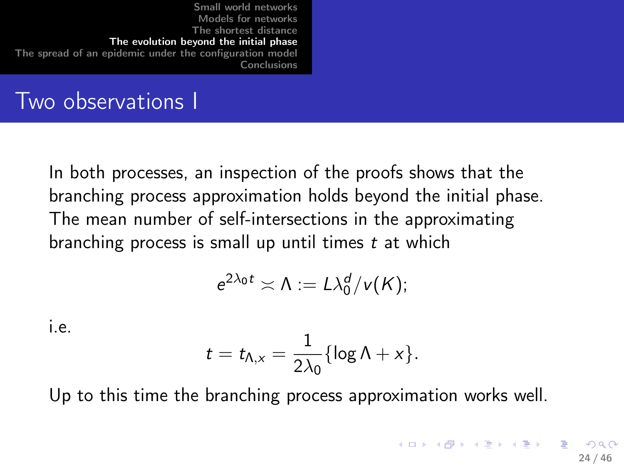## Two observations I

In both processes, an inspection of the proofs shows that the branching process approximation holds beyond the initial phase. The mean number of self-intersections in the approximating branching process is small up until times t at which

$$
e^{2\lambda_0 t} \asymp \Lambda := L \lambda_0^d / v(K);
$$

i.e.

<span id="page-23-0"></span>
$$
t=t_{\Lambda,x}=\frac{1}{2\lambda_0}\{\log\Lambda+x\}.
$$

Up to this time the branching process approximation works well.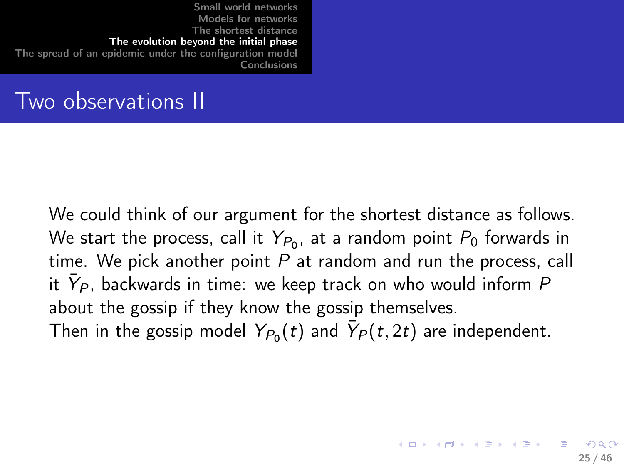| Conclusions |
|-------------|
|-------------|

# Two observations II

We could think of our argument for the shortest distance as follows. We start the process, call it  $Y_{P_0}$ , at a random point  $P_0$  forwards in time. We pick another point  $P$  at random and run the process, call it  $\bar{Y}_P$ , backwards in time: we keep track on who would inform  $P$ about the gossip if they know the gossip themselves. Then in the gossip model  $\mathit{Y}_{\mathit{P}_0}(t)$  and  $\bar{\mathit{Y}}_\mathit{P}(t,2t)$  are independent.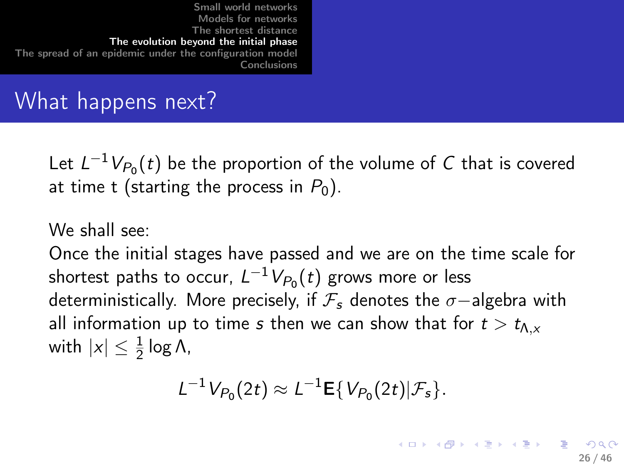| Small world networks<br>Models for networks<br>The shortest distance<br>The evolution bevond the initial phase<br>The spread of an epidemic under the configuration model<br><b>Conclusions</b> |  |
|-------------------------------------------------------------------------------------------------------------------------------------------------------------------------------------------------|--|
|                                                                                                                                                                                                 |  |

# What happens next?

Let  $L^{-1}V_{P_0}(t)$  be the proportion of the volume of C that is covered at time t (starting the process in  $P_0$ ).

### We shall see:

Once the initial stages have passed and we are on the time scale for shortest paths to occur,  $L^{-1} V_{P_0}(t)$  grows more or less deterministically. More precisely, if  $\mathcal{F}_s$  denotes the  $\sigma$ −algebra with all information up to time s then we can show that for  $t > t_{\Lambda,x}$ with  $|x| \leq \frac{1}{2} \log \Lambda$ ,

$$
L^{-1}V_{P_0}(2t)\approx L^{-1}\mathbf{E}\{V_{P_0}(2t)|\mathcal{F}_s\}.
$$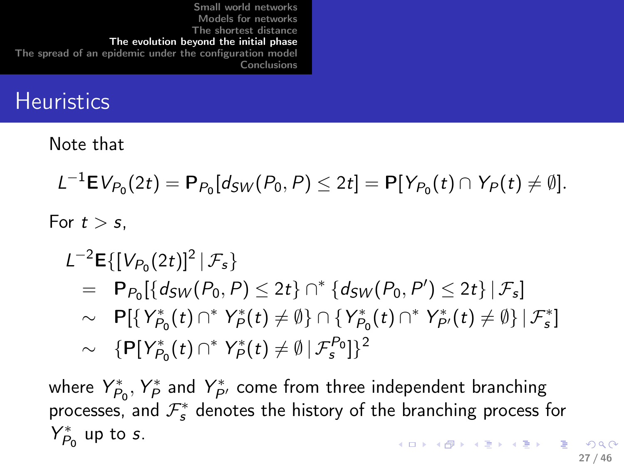# **Heuristics**

Note that

$$
L^{-1} \mathbf{E} V_{P_0}(2t) = \mathbf{P}_{P_0}[d_{SW}(P_0, P) \leq 2t] = \mathbf{P}[Y_{P_0}(t) \cap Y_P(t) \neq \emptyset].
$$

For  $t > s$ .

#### $L^{-2}$ **E**{[ $V_{P_0}(2t)$ ]<sup>2</sup> |  $\mathcal{F}_s$ }  $= P_{P_0}[\{d_{SW}(P_0, P) \le 2t\} \cap \{d_{SW}(P_0, P') \le 2t\} | \mathcal{F}_s]$  $\sim$  P[{ $Y_{P_0}^*$  $Y_{P_0}^*(t) \cap^* Y_P^*$  $\mathcal{C}_P^*(t) \neq \emptyset$  }  $\cap$  {  $Y_P^*$  $Y_{P_0}^*(t) \cap$  \*  $Y_{P'}^*(t) \neq \emptyset$  }  $|\mathcal{F}_{s}^*]$  $\sim \ \{P[Y_{P_1}^*$  $Y_{P_0}^*(t) \cap^* Y_P^*$  $\mathcal{P}^*(t) \neq \emptyset \, | \, \mathcal{F}_{\mathsf{s}}^{P_0} ] \}^2$

where  $Y_P^*$  $Y^*_{P_0}, Y^*_{P_0}$  $\hat{P}_{P}^*$  and  $Y_{P'}^*$  come from three independent branching processes, and  $\mathcal{F}_{s}^{*}$  denotes the history of the branching process for Y ∗  $P_0^*$  up to s.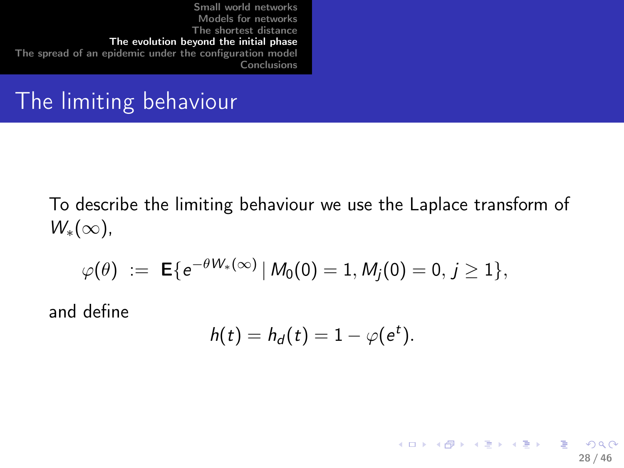# The limiting behaviour

To describe the limiting behaviour we use the Laplace transform of  $W_*(\infty)$ ,

$$
\varphi(\theta) \ := \ \mathsf{E}\{e^{-\theta W_*(\infty)} \,|\, M_0(0)=1, M_j(0)=0, \, j\geq 1\},
$$

and define

$$
h(t) = h_d(t) = 1 - \varphi(e^t).
$$

28 / 46

K ロ ▶ K @ ▶ K 할 ▶ K 할 ▶ → 할 → K 9 Q Q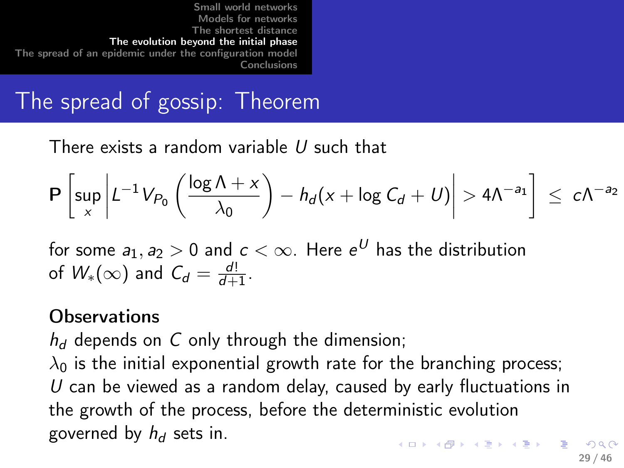# The spread of gossip: Theorem

There exists a random variable U such that

$$
\mathbf{P}\left[\sup_{x}\left|L^{-1}V_{P_{0}}\left(\frac{\log\Lambda+x}{\lambda_{0}}\right)-h_{d}(x+\log C_{d}+U)\right|>4\Lambda^{-a_{1}}\right] \leq c\Lambda^{-a_{2}}
$$

for some  $a_1, a_2 > 0$  and  $c < \infty$ . Here  $e^U$  has the distribution of  $W_*(\infty)$  and  $C_d = \frac{d!}{d+1}$  $\frac{a!}{d+1}$ .

### **Observations**

 $h_d$  depends on C only through the dimension;

 $\lambda_0$  is the initial exponential growth rate for the branching process;  $U$  can be viewed as a random delay, caused by early fluctuations in the growth of the process, before the deterministic evolution governed by  $h_d$  sets in.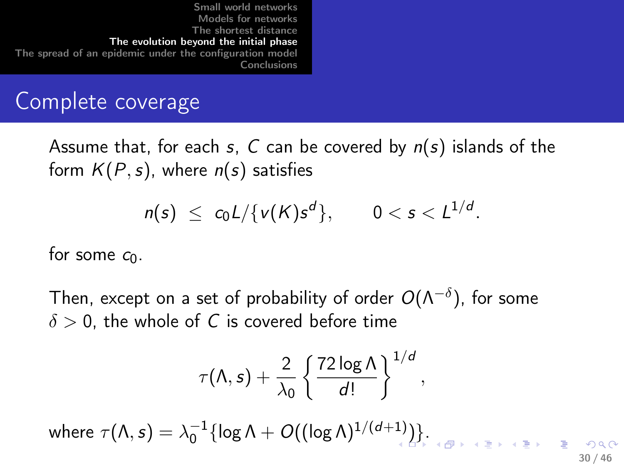[Small world networks](#page-2-0) [Models for networks](#page-5-0) [The shortest distance](#page-9-0) [The evolution beyond the initial phase](#page-23-0) [The spread of an epidemic under the configuration model](#page-31-0) [Conclusions](#page-44-0)

### Complete coverage

Assume that, for each s, C can be covered by  $n(s)$  islands of the form  $K(P, s)$ , where  $n(s)$  satisfies

$$
n(s) \leq c_0 L / \{v(K)s^d\}, \qquad 0 < s < L^{1/d}.
$$

for some  $c_0$ .

Then, except on a set of probability of order  $O(\Lambda^{-\delta}),$  for some  $\delta > 0$ , the whole of C is covered before time

$$
\tau(\Lambda,s)+\frac{2}{\lambda_0}\left\{\frac{72\log\Lambda}{d!}\right\}^{1/d},\,
$$

where  $\tau(\Lambda,s)=\lambda_0^{-1}\{\log\Lambda+O((\log\Lambda)^{1/(d+1)})\}.$  $\tau(\Lambda,s)=\lambda_0^{-1}\{\log\Lambda+O((\log\Lambda)^{1/(d+1)})\}.$  $\tau(\Lambda,s)=\lambda_0^{-1}\{\log\Lambda+O((\log\Lambda)^{1/(d+1)})\}.$ 30 / 46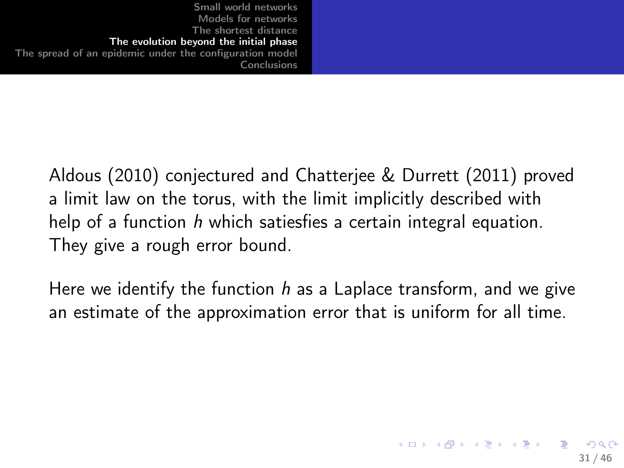> Aldous (2010) conjectured and Chatterjee & Durrett (2011) proved a limit law on the torus, with the limit implicitly described with help of a function h which satiesfies a certain integral equation. They give a rough error bound.

> <span id="page-30-0"></span>Here we identify the function h as a Laplace transform, and we give an estimate of the approximation error that is uniform for all time.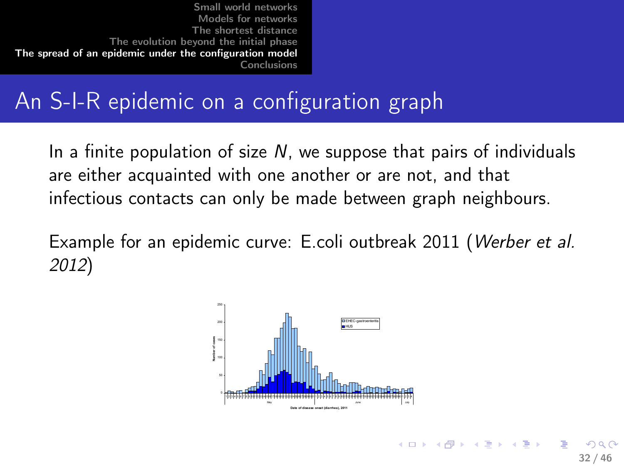# An S-I-R epidemic on a configuration graph

In a finite population of size  $N$ , we suppose that pairs of individuals are either acquainted with one another or are not, and that infectious contacts can only be made between graph neighbours.

Example for an epidemic curve: E.coli outbreak 2011 (Werber et al. 2012)



<span id="page-31-0"></span>32 / 46

**◆ロト → 何ト → ヨト → ヨト**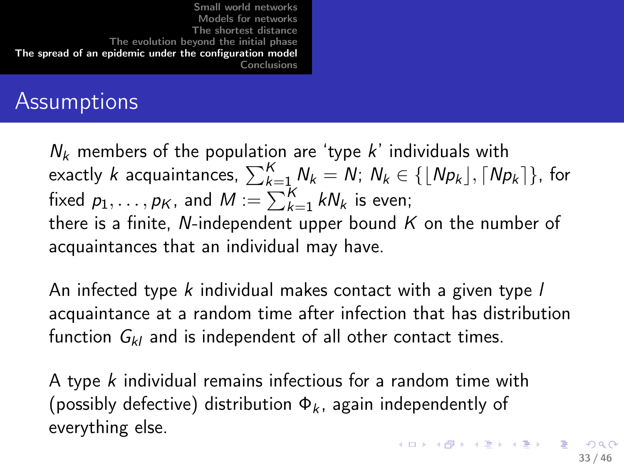# **Assumptions**

 $N_k$  members of the population are 'type k' individuals with exactly  $k$  acquaintances,  $\sum_{k=1}^K N_k = N; \ N_k \in \{\lfloor Np_k \rfloor, \lceil Np_k \rceil\},$  for fixed  $p_1, \ldots, p_K$ , and  $M := \sum_{k=1}^K k N_k$  is even; there is a finite, N-independent upper bound  $K$  on the number of acquaintances that an individual may have.

An infected type  $k$  individual makes contact with a given type  $l$ acquaintance at a random time after infection that has distribution function  $G_{kl}$  and is independent of all other contact times.

A type k individual remains infectious for a random time with (possibly defective) distribution  $\Phi_k$ , again independently of everything else.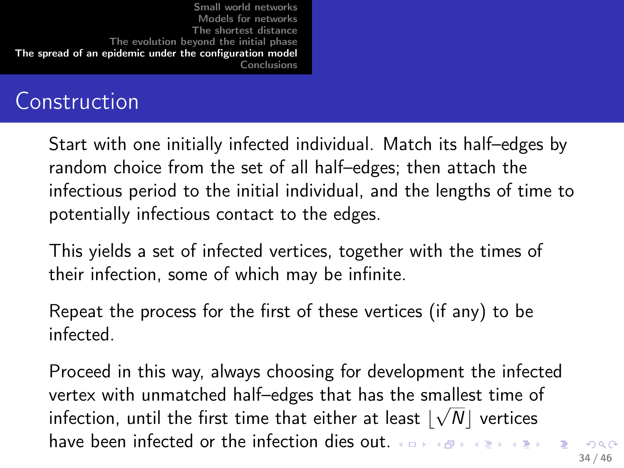## Construction

Start with one initially infected individual. Match its half–edges by random choice from the set of all half–edges; then attach the infectious period to the initial individual, and the lengths of time to potentially infectious contact to the edges.

This yields a set of infected vertices, together with the times of their infection, some of which may be infinite.

Repeat the process for the first of these vertices (if any) to be infected.

Proceed in this way, always choosing for development the infected vertex with unmatched half–edges that has the smallest time of infection, until the first time that either at least  $\lfloor \sqrt{N} \rfloor$  vertices have been infected or the infection dies out.  $\overline{a}$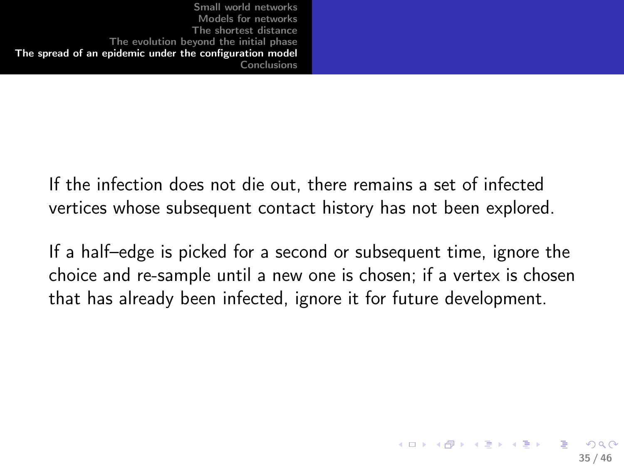> If the infection does not die out, there remains a set of infected vertices whose subsequent contact history has not been explored.

If a half–edge is picked for a second or subsequent time, ignore the choice and re-sample until a new one is chosen; if a vertex is chosen that has already been infected, ignore it for future development.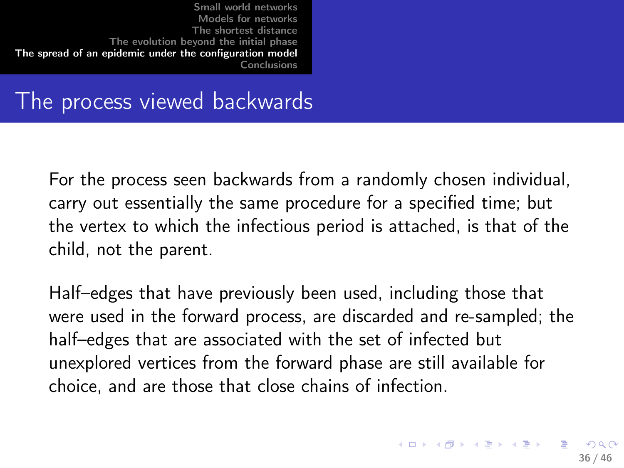### The process viewed backwards

For the process seen backwards from a randomly chosen individual, carry out essentially the same procedure for a specified time; but the vertex to which the infectious period is attached, is that of the child, not the parent.

Half–edges that have previously been used, including those that were used in the forward process, are discarded and re-sampled; the half–edges that are associated with the set of infected but unexplored vertices from the forward phase are still available for choice, and are those that close chains of infection.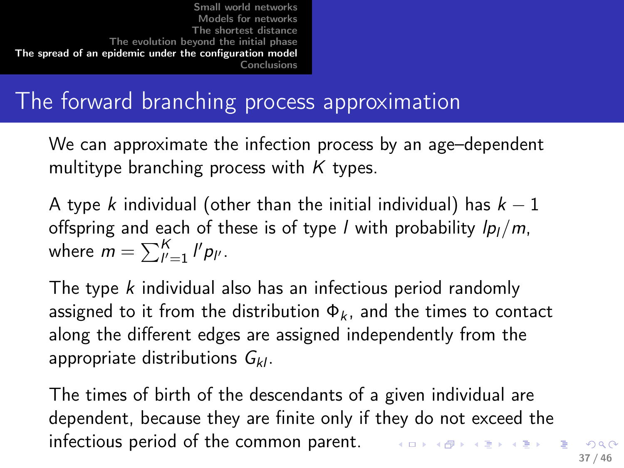# The forward branching process approximation

We can approximate the infection process by an age–dependent multitype branching process with  $K$  types.

A type k individual (other than the initial individual) has  $k-1$ offspring and each of these is of type *l* with probability  $lp_l/m$ , where  $m = \sum_{l'=1}^{K} l' p_{l'}$ .

The type k individual also has an infectious period randomly assigned to it from the distribution  $\Phi_k$ , and the times to contact along the different edges are assigned independently from the appropriate distributions  $G_{kl}$ .

The times of birth of the descendants of a given individual are dependent, because they are finite only if they do not exceed the infectious period of the common parent.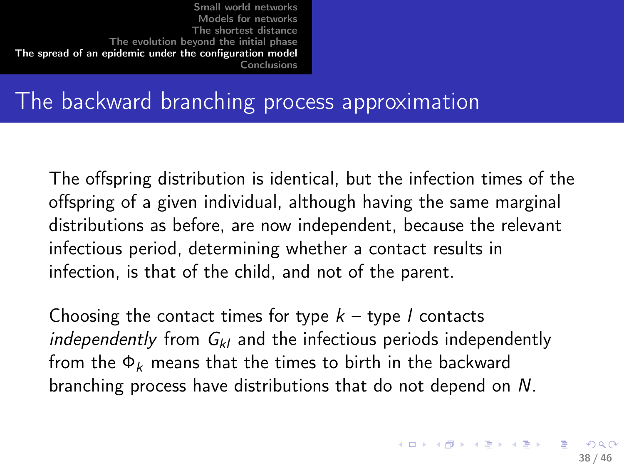# The backward branching process approximation

The offspring distribution is identical, but the infection times of the offspring of a given individual, although having the same marginal distributions as before, are now independent, because the relevant infectious period, determining whether a contact results in infection, is that of the child, and not of the parent.

Choosing the contact times for type  $k -$  type l contacts independently from  $G_{kl}$  and the infectious periods independently from the  $\Phi_k$  means that the times to birth in the backward branching process have distributions that do not depend on N.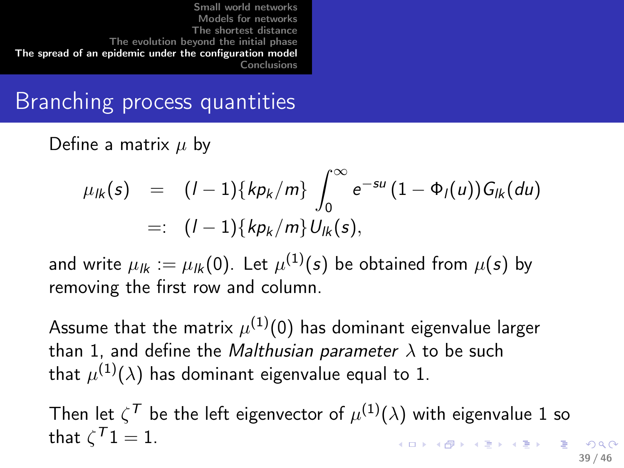# Branching process quantities

Define a matrix  $\mu$  by

$$
\mu_{lk}(s) = (l-1)\{kp_k/m\} \int_0^\infty e^{-su} (1-\Phi_l(u)) G_{lk}(du)
$$
  
=:  $(l-1)\{kp_k/m\} U_{lk}(s),$ 

and write  $\mu_{l\boldsymbol{k}}:=\mu_{l\boldsymbol{k}}(0).$  Let  $\mu^{(1)}(s)$  be obtained from  $\mu(s)$  by removing the first row and column.

Assume that the matrix  $\mu^{(1)}(0)$  has dominant eigenvalue larger than 1, and define the *Malthusian parameter*  $\lambda$  to be such that  $\mu^{(1)}(\lambda)$  has dominant eigenvalue equal to 1.

Then let  $\zeta^\mathcal{T}$  be the left eigenvector of  $\mu^{(1)}(\lambda)$  with eigenvalue 1 so that  $\zeta^{\mathcal{T}}\mathbb{1} = \mathbb{1}$ .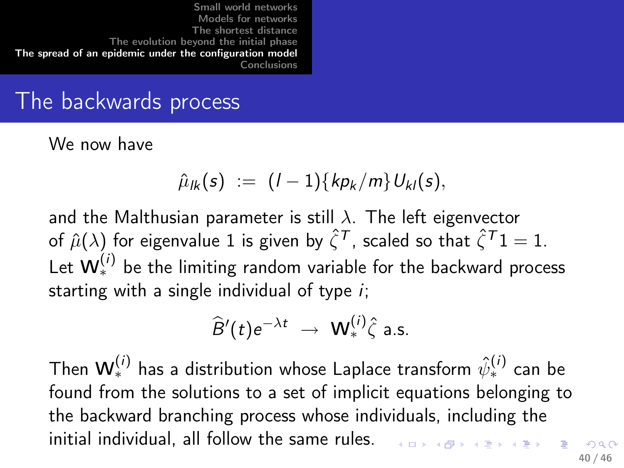### The backwards process

We now have

$$
\hat{\mu}_{lk}(s) := (l-1)\{kp_k/m\}U_{kl}(s),
$$

and the Malthusian parameter is still  $\lambda$ . The left eigenvector of  $\hat{\mu}(\lambda)$  for eigenvalue 1 is given by  $\hat{\zeta}^{\mathcal{T}}$ , scaled so that  $\hat{\zeta}^{\mathcal{T}}1 = 1$ . Let  $\mathsf{W}_*^{(i)}$  be the limiting random variable for the backward process starting with a single individual of type  $i$ ;

$$
\widehat{B}'(t)e^{-\lambda t} \rightarrow \mathbf{W}^{(i)}_{*} \widehat{\zeta} \text{ a.s.}
$$

Then  $\mathsf{W}_*^{(i)}$  has a distribution whose Laplace transform  $\hat{\psi}_*^{(i)}$  can be found from the solutions to a set of implicit equations belonging to the backward branching process whose individuals, including the initial individual, all follow the same rules.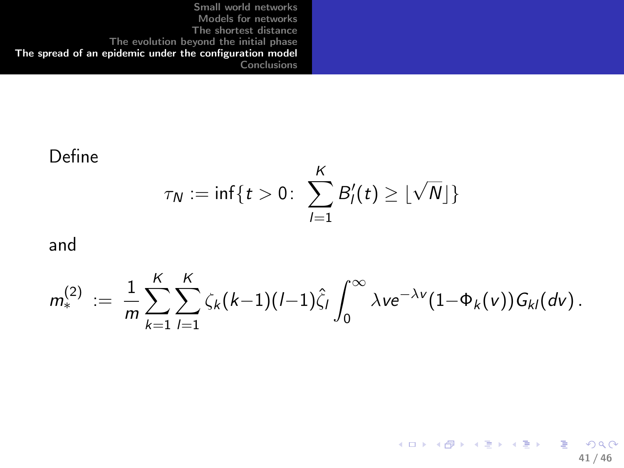#### Define  $\tau_N := \inf\{t > 0 \colon \sum B_l'$ K  $l=1$  $\lfloor \sqrt{N} \rfloor \}$

and

$$
m_*^{(2)} \; := \; \frac{1}{m} \sum_{k=1}^K \sum_{l=1}^K \zeta_k(k-1)(l-1) \hat{\zeta}_l \int_0^\infty \lambda v e^{-\lambda v} (1-\Phi_k(v)) G_{kl}(dv) \, .
$$

K ロ ▶ K 個 ▶ K 할 ▶ K 할 ▶ 이 할 → 9 Q Q\* 41 / 46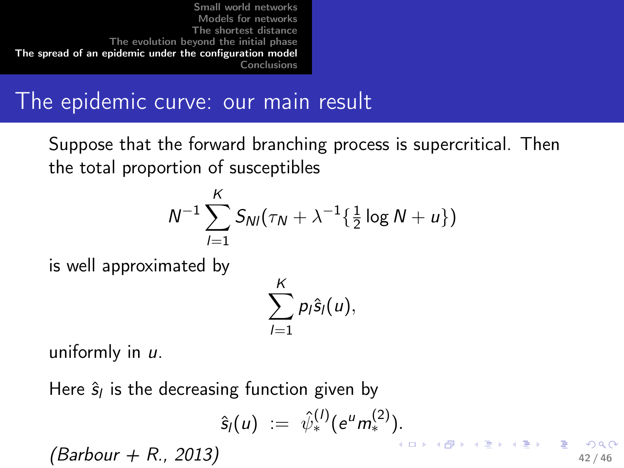The epidemic curve: our main result

Suppose that the forward branching process is supercritical. Then the total proportion of susceptibles

$$
N^{-1}\sum_{l=1}^K S_{Nl}(\tau_N + \lambda^{-1}\{\tfrac{1}{2}\log N + u\})
$$

is well approximated by

$$
\sum_{l=1}^K p_l \hat{s}_l(u),
$$

uniformly in u.

Here  $\hat{\mathsf{s}}_l$  is the decreasing function given by

$$
\hat{s}_l(u) := \hat{\psi}_*^{(l)}(e^u m_*^{(2)}).
$$

 $(Barbour + R., 2013)$  42/46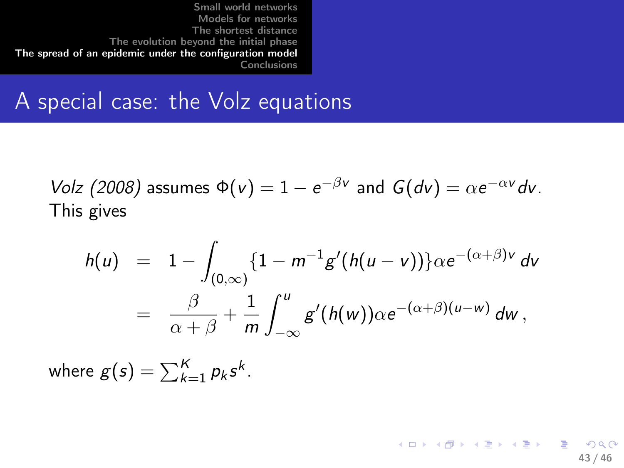### A special case: the Volz equations

Volz (2008) assumes  $\Phi(v) = 1 - e^{-\beta v}$  and  $G(dv) = \alpha e^{-\alpha v} dv$ . This gives

$$
h(u) = 1 - \int_{(0,\infty)} \{1 - m^{-1}g'(h(u-v))\} \alpha e^{-(\alpha+\beta)v} dv
$$
  
= 
$$
\frac{\beta}{\alpha+\beta} + \frac{1}{m} \int_{-\infty}^{u} g'(h(w)) \alpha e^{-(\alpha+\beta)(u-w)} dw,
$$

where  $g(s) = \sum_{k=1}^{K} p_k s^k$ .

K ロ ▶ K @ ▶ K 할 ▶ K 할 ▶ → 할 → K 9 Q Q 43 / 46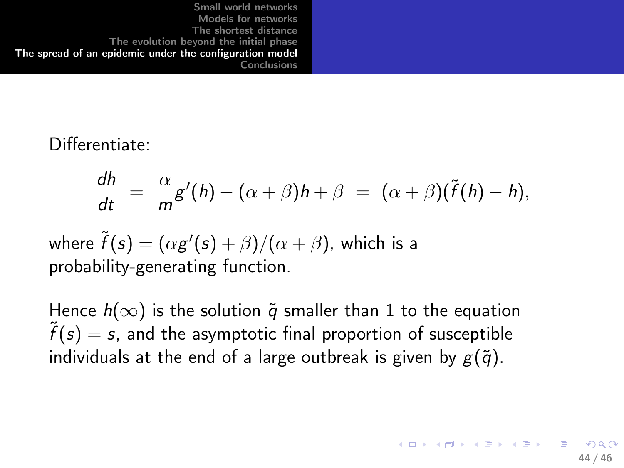### Differentiate:

$$
\frac{dh}{dt} = \frac{\alpha}{m}g'(h) - (\alpha + \beta)h + \beta = (\alpha + \beta)(\tilde{f}(h) - h),
$$

where  $\widetilde{f}(\mathsf{s}) = (\alpha \mathsf{g}'(\mathsf{s}) + \beta)/(\alpha + \beta)$ , which is a probability-generating function.

Hence  $h(\infty)$  is the solution  $\tilde{q}$  smaller than 1 to the equation  $\tilde{f}(s) = s$ , and the asymptotic final proportion of susceptible individuals at the end of a large outbreak is given by  $g(\tilde{q})$ .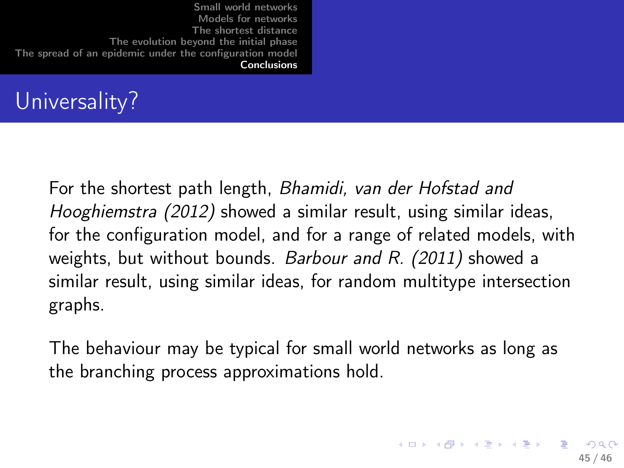# Universality?

For the shortest path length, Bhamidi, van der Hofstad and Hooghiemstra (2012) showed a similar result, using similar ideas, for the configuration model, and for a range of related models, with weights, but without bounds. Barbour and R. (2011) showed a similar result, using similar ideas, for random multitype intersection graphs.

<span id="page-44-0"></span>The behaviour may be typical for small world networks as long as the branching process approximations hold.